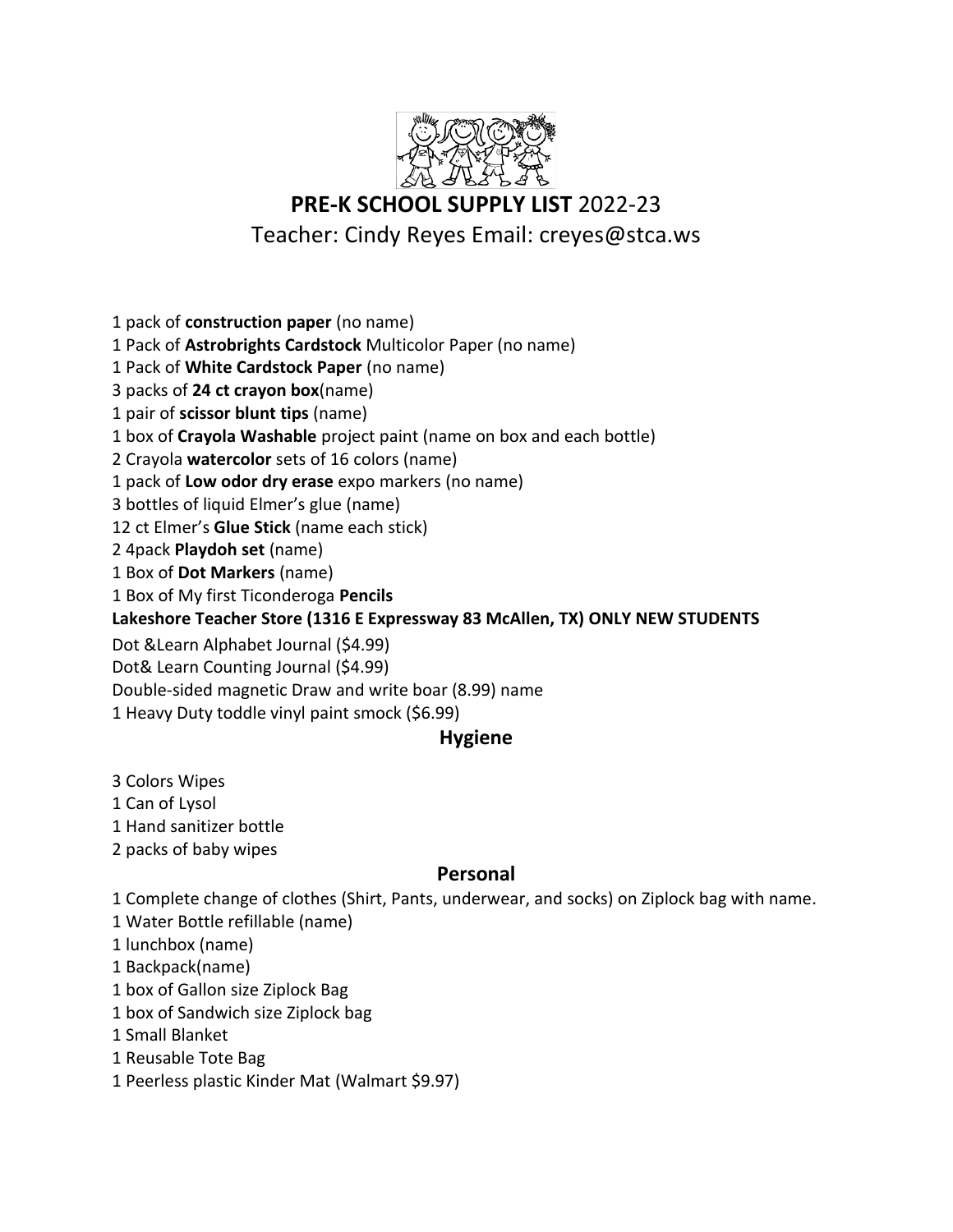

## **PRE-K SCHOOL SUPPLY LIST** 2022-23

## Teacher: Cindy Reyes Email: creyes@stca.ws

1 pack of **construction paper** (no name)

1 Pack of **Astrobrights Cardstock** Multicolor Paper (no name)

1 Pack of **White Cardstock Paper** (no name)

3 packs of **24 ct crayon box**(name)

1 pair of **scissor blunt tips** (name)

1 box of **Crayola Washable** project paint (name on box and each bottle)

2 Crayola **watercolor** sets of 16 colors (name)

1 pack of **Low odor dry erase** expo markers (no name)

3 bottles of liquid Elmer's glue (name)

12 ct Elmer's **Glue Stick** (name each stick)

2 4pack **Playdoh set** (name)

1 Box of **Dot Markers** (name)

1 Box of My first Ticonderoga **Pencils**

**Lakeshore Teacher Store (1316 E Expressway 83 McAllen, TX) ONLY NEW STUDENTS**

Dot &Learn Alphabet Journal (\$4.99)

Dot& Learn Counting Journal (\$4.99)

Double-sided magnetic Draw and write boar (8.99) name

1 Heavy Duty toddle vinyl paint smock (\$6.99)

## **Hygiene**

3 Colors Wipes

1 Can of Lysol

1 Hand sanitizer bottle

2 packs of baby wipes

## **Personal**

1 Complete change of clothes (Shirt, Pants, underwear, and socks) on Ziplock bag with name.

- 1 Water Bottle refillable (name)
- 1 lunchbox (name)
- 1 Backpack(name)
- 1 box of Gallon size Ziplock Bag
- 1 box of Sandwich size Ziplock bag
- 1 Small Blanket
- 1 Reusable Tote Bag
- 1 Peerless plastic Kinder Mat (Walmart \$9.97)